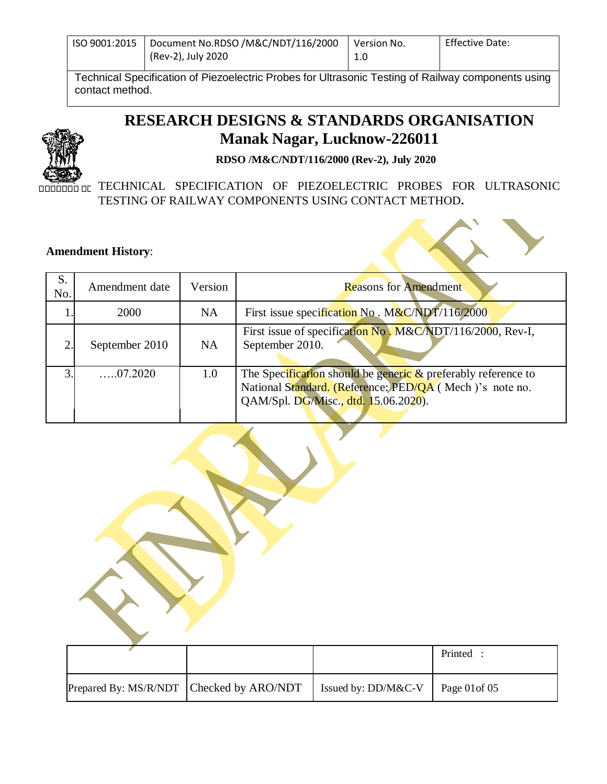| ISO 9001:2015 | Document No.RDSO /M&C/NDT/116/2000 | l Version No. | <b>Effective Date:</b> |
|---------------|------------------------------------|---------------|------------------------|
|               | (Rev-2), July 2020                 | 1.0           |                        |

Technical Specification of Piezoelectric Probes for Ultrasonic Testing of Railway components using contact method.

# **RESEARCH DESIGNS & STANDARDS ORGANISATION Manak Nagar, Lucknow-226011**



.

 **RDSO /M&C/NDT/116/2000 (Rev-2), July 2020**

**EDEBRIC TECHNICAL SPECIFICATION OF PIEZOELECTRIC PROBES FOR ULTRASONIC** TESTING OF RAILWAY COMPONENTS USING CONTACT METHOD**.**

#### **Amendment History**:

| S.<br>No.      | Amendment date  | Version   | <b>Reasons for Amendment</b>                                                                                                                                        |
|----------------|-----------------|-----------|---------------------------------------------------------------------------------------------------------------------------------------------------------------------|
|                | 2000            | NA        | First issue specification No. $M\&C/NDT/116/2000$                                                                                                                   |
|                | September 2010  | <b>NA</b> | First issue of specification No. M&C/NDT/116/2000, Rev-I,<br>September 2010.                                                                                        |
| $\overline{3}$ | $\dots 07.2020$ | 1.0       | The Specification should be generic $\&$ preferably reference to<br>National Standard. (Reference: PED/QA (Mech)'s note no.<br>QAM/Spl. DG/Misc., dtd. 15.06.2020). |

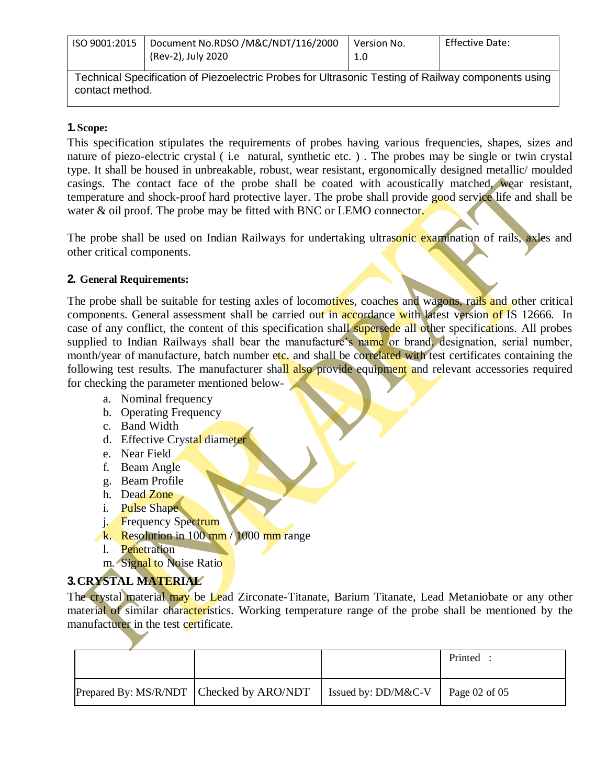| ISO 9001:2015                                                                                                         | Document No.RDSO /M&C/NDT/116/2000<br>(Rev-2), July 2020 | Version No.<br>1.0 | <b>Effective Date:</b> |
|-----------------------------------------------------------------------------------------------------------------------|----------------------------------------------------------|--------------------|------------------------|
| Technical Specification of Piezoelectric Probes for Ultrasonic Testing of Railway components using<br>contact method. |                                                          |                    |                        |

#### **1.Scope:**

.

This specification stipulates the requirements of probes having various frequencies, shapes, sizes and nature of piezo-electric crystal ( i.e natural, synthetic etc. ) . The probes may be single or twin crystal type. It shall be housed in unbreakable, robust, wear resistant, ergonomically designed metallic/ moulded casings. The contact face of the probe shall be coated with acoustically matched, wear resistant, temperature and shock-proof hard protective layer. The probe shall provide good service life and shall be water & oil proof. The probe may be fitted with BNC or LEMO connector.

The probe shall be used on Indian Railways for undertaking ultrasonic examination of rails, axles and other critical components.

#### **2. General Requirements:**

The probe shall be suitable for testing axles of locomotives, coaches and wagons, rails and other critical components. General assessment shall be carried out in accordance with latest version of IS 12666. In case of any conflict, the content of this specification shall supersede all other specifications. All probes supplied to Indian Railways shall bear the manufacture's name or brand, designation, serial number, month/year of manufacture, batch number etc. and shall be correlated with test certificates containing the following test results. The manufacturer shall also provide equipment and relevant accessories required for checking the parameter mentioned below-

- a. Nominal frequency
- b. Operating Frequency
- c. Band Width
- d. Effective Crystal diameter
- e. Near Field
- f. Beam Angle
- g. Beam Profile
- h. Dead Zone
- i. Pulse Shape
- j. Frequency Spectrum
- k. Resolution in 100 mm / 1000 mm range
- l. Penetration
- m. Signal to Noise Ratio

### **3.CRYSTAL MATERIAL**

The crystal material may be Lead Zirconate-Titanate, Barium Titanate, Lead Metaniobate or any other material of similar characteristics. Working temperature range of the probe shall be mentioned by the manufacturer in the test certificate.

|  |                                          |                        | Printed           |
|--|------------------------------------------|------------------------|-------------------|
|  | Prepared By: MS/R/NDT Checked by ARO/NDT | Issued by: $DD/M\&C-V$ | Page $02$ of $05$ |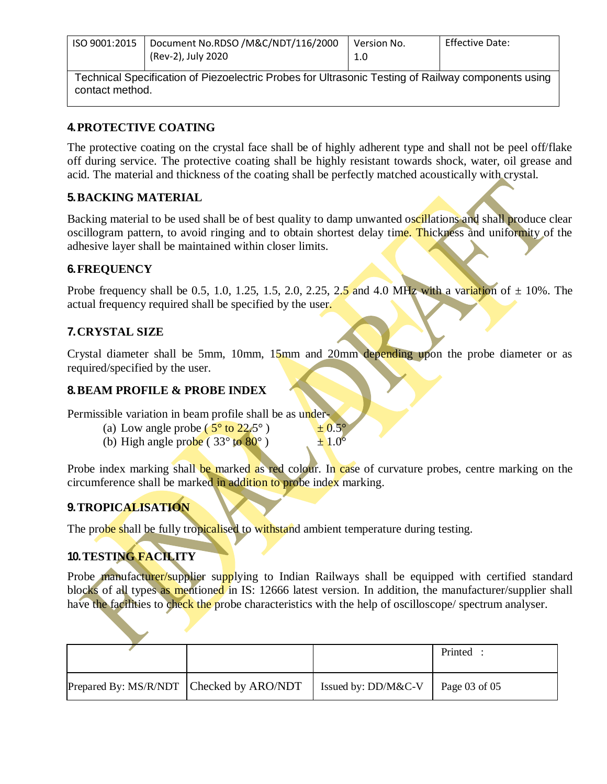| ISO 9001:2015                                                                                      | Document No.RDSO /M&C/NDT/116/2000<br>(Rev-2), July 2020 | Version No.<br>1.0 | <b>Effective Date:</b> |
|----------------------------------------------------------------------------------------------------|----------------------------------------------------------|--------------------|------------------------|
| Technical Casoffication of Diozeolectric Droboo for Ultrosonic Tecting of Deilway components using |                                                          |                    |                        |

Technical Specification of Piezoelectric Probes for Ultrasonic Testing of Railway components using contact method.

### **4.PROTECTIVE COATING**

The protective coating on the crystal face shall be of highly adherent type and shall not be peel off/flake off during service. The protective coating shall be highly resistant towards shock, water, oil grease and acid. The material and thickness of the coating shall be perfectly matched acoustically with crystal.

## **5.BACKING MATERIAL**

Backing material to be used shall be of best quality to damp unwanted oscillations and shall produce clear oscillogram pattern, to avoid ringing and to obtain shortest delay time. Thickness and uniformity of the adhesive layer shall be maintained within closer limits.

### **6.FREQUENCY**

.

Probe frequency shall be 0.5, 1.0, 1.25, 1.5, 2.0, 2.25, 2.5 and 4.0 MHz with a variation of  $\pm$  10%. The actual frequency required shall be specified by the user.

## **7.CRYSTAL SIZE**

Crystal diameter shall be 5mm, 10mm, 15mm and 20mm depending upon the probe diameter or as required/specified by the user.

### **8.BEAM PROFILE & PROBE INDEX**

Permissible variation in beam profile shall be as under-

- (a) Low angle probe ( $5^{\circ}$  to  $22.5^{\circ}$ )  $\pm 0.5^{\circ}$
- (b) High angle probe (  $33^{\circ}$  to  $80^{\circ}$  )  $\pm 1.0^{\circ}$

Probe index marking shall be marked as red colour. In case of curvature probes, centre marking on the circumference shall be marked in addition to probe index marking.

# **9.TROPICALISATION**

The probe shall be fully tropicalised to withstand ambient temperature during testing.

# **10.TESTING FACILITY**

Probe manufacturer/supplier supplying to Indian Railways shall be equipped with certified standard blocks of all types as mentioned in IS: 12666 latest version. In addition, the manufacturer/supplier shall have the facilities to check the probe characteristics with the help of oscilloscope/ spectrum analyser.

|                                          |                     | Printed       |
|------------------------------------------|---------------------|---------------|
|                                          |                     |               |
|                                          |                     |               |
|                                          |                     |               |
| Prepared By: MS/R/NDT Checked by ARO/NDT | Issued by: DD/M&C-V | Page 03 of 05 |
|                                          |                     |               |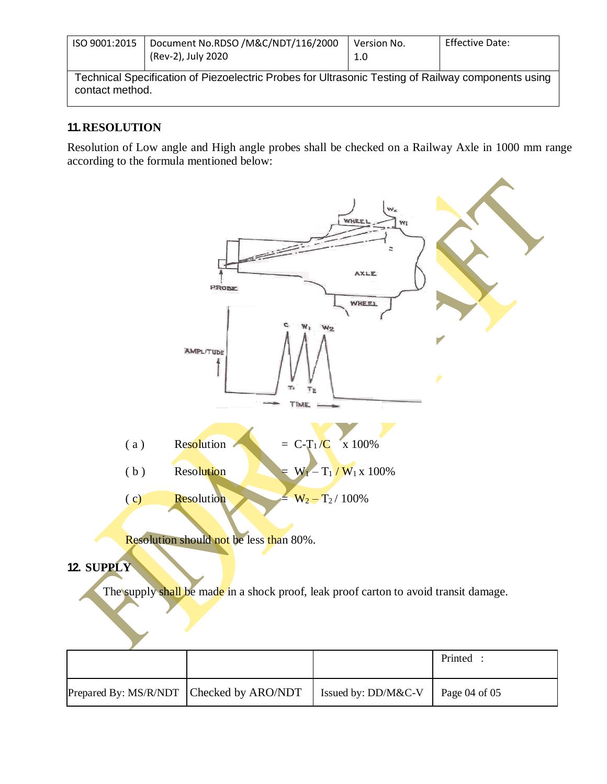| ISO 9001:2015                                                                                                         | Document No.RDSO /M&C/NDT/116/2000<br>(Rev-2), July 2020 | Version No.<br>1.0 | <b>Effective Date:</b> |  |
|-----------------------------------------------------------------------------------------------------------------------|----------------------------------------------------------|--------------------|------------------------|--|
| Technical Specification of Piezoelectric Probes for Ultrasonic Testing of Railway components using<br>contact method. |                                                          |                    |                        |  |

### **11.RESOLUTION**

.

Resolution of Low angle and High angle probes shall be checked on a Railway Axle in 1000 mm range according to the formula mentioned below:



## **12. SUPPLY**

The supply shall be made in a shock proof, leak proof carton to avoid transit damage.

|                                          |                                           | Printed |
|------------------------------------------|-------------------------------------------|---------|
| Prepared By: MS/R/NDT Checked by ARO/NDT | Issued by: DD/M&C-V $\vert$ Page 04 of 05 |         |